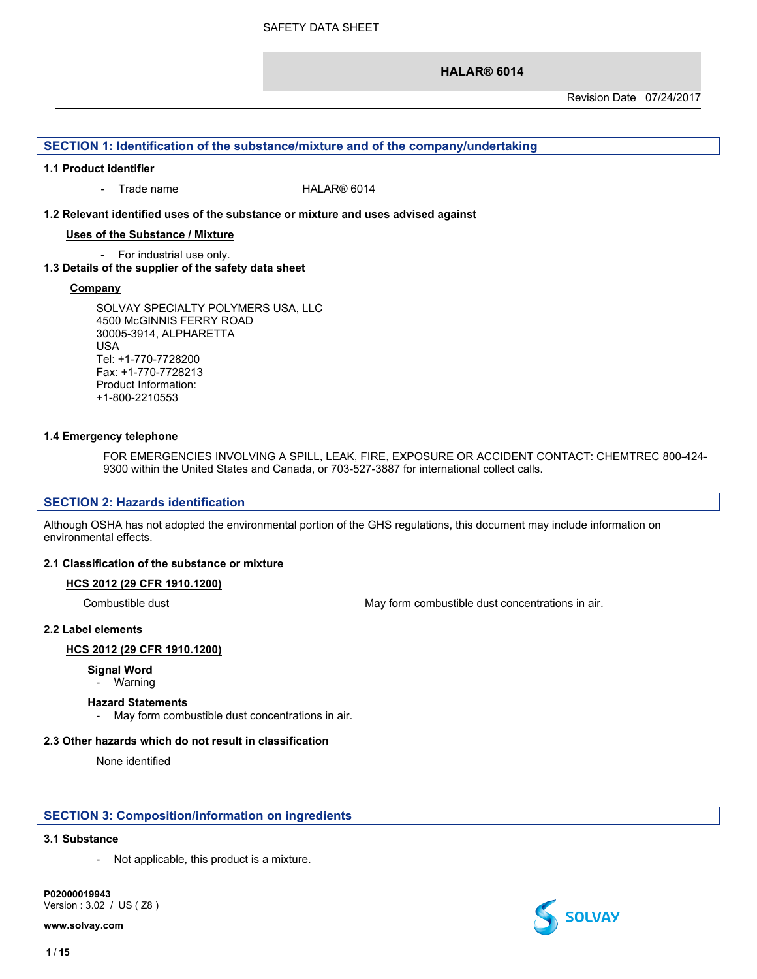### **SECTION 1: Identification of the substance/mixture and of the company/undertaking**

#### **1.1 Product identifier**

- Trade name HALAR® 6014

#### **1.2 Relevant identified uses of the substance or mixture and uses advised against**

#### **Uses of the Substance / Mixture**

- For industrial use only.

#### **1.3 Details of the supplier of the safety data sheet**

#### **Company**

SOLVAY SPECIALTY POLYMERS USA, LLC 4500 McGINNIS FERRY ROAD 30005-3914, ALPHARETTA USA Tel: +1-770-7728200 Fax: +1-770-7728213 Product Information: +1-800-2210553

#### **1.4 Emergency telephone**

FOR EMERGENCIES INVOLVING A SPILL, LEAK, FIRE, EXPOSURE OR ACCIDENT CONTACT: CHEMTREC 800-424- 9300 within the United States and Canada, or 703-527-3887 for international collect calls.

### **SECTION 2: Hazards identification**

Although OSHA has not adopted the environmental portion of the GHS regulations, this document may include information on environmental effects.

#### **2.1 Classification of the substance or mixture**

#### **HCS 2012 (29 CFR 1910.1200)**

Combustible dust May form combustible dust concentrations in air.

#### **2.2 Label elements**

#### **HCS 2012 (29 CFR 1910.1200)**

#### **Signal Word**

#### - Warning

#### **Hazard Statements**

- May form combustible dust concentrations in air.

# **2.3 Other hazards which do not result in classification**

None identified

# **SECTION 3: Composition/information on ingredients**

# **3.1 Substance**

Not applicable, this product is a mixture.

**P02000019943** Version : 3.02 / US ( Z8 )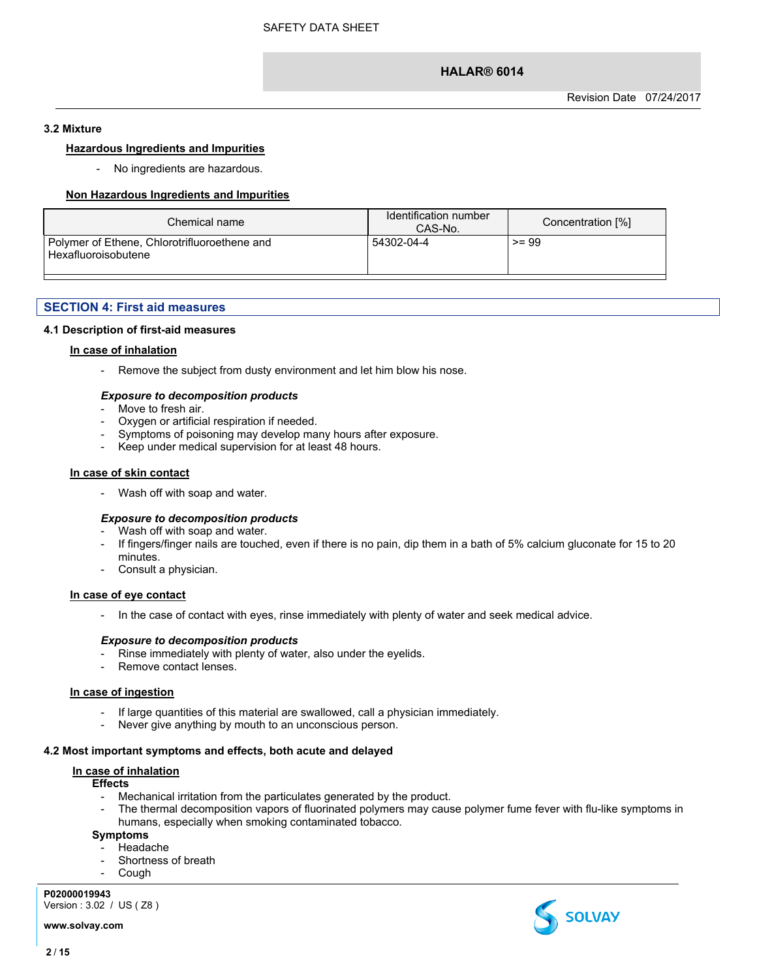#### **3.2 Mixture**

#### **Hazardous Ingredients and Impurities**

- No ingredients are hazardous.

#### **Non Hazardous Ingredients and Impurities**

| Chemical name                                                       | Identification number<br>CAS-No. | Concentration [%] |
|---------------------------------------------------------------------|----------------------------------|-------------------|
| Polymer of Ethene, Chlorotrifluoroethene and<br>Hexafluoroisobutene | 54302-04-4                       | $>= 99$           |

#### **SECTION 4: First aid measures**

#### **4.1 Description of first-aid measures**

#### **In case of inhalation**

- Remove the subject from dusty environment and let him blow his nose.

#### *Exposure to decomposition products*

- Move to fresh air.
- Oxygen or artificial respiration if needed.
- Symptoms of poisoning may develop many hours after exposure.
- Keep under medical supervision for at least 48 hours.

#### **In case of skin contact**

- Wash off with soap and water.

#### *Exposure to decomposition products*

- Wash off with soap and water.
- If fingers/finger nails are touched, even if there is no pain, dip them in a bath of 5% calcium gluconate for 15 to 20 minutes.
- Consult a physician.

# **In case of eye contact**

- In the case of contact with eyes, rinse immediately with plenty of water and seek medical advice.

#### *Exposure to decomposition products*

- Rinse immediately with plenty of water, also under the eyelids.
- Remove contact lenses.

#### **In case of ingestion**

- If large quantities of this material are swallowed, call a physician immediately.
- Never give anything by mouth to an unconscious person.

#### **4.2 Most important symptoms and effects, both acute and delayed**

#### **In case of inhalation**

#### **Effects**

- Mechanical irritation from the particulates generated by the product.
- The thermal decomposition vapors of fluorinated polymers may cause polymer fume fever with flu-like symptoms in humans, especially when smoking contaminated tobacco.

#### **Symptoms**

- **Headache**
- Shortness of breath
- Cough

#### **P02000019943**

Version : 3.02 / US ( Z8 )

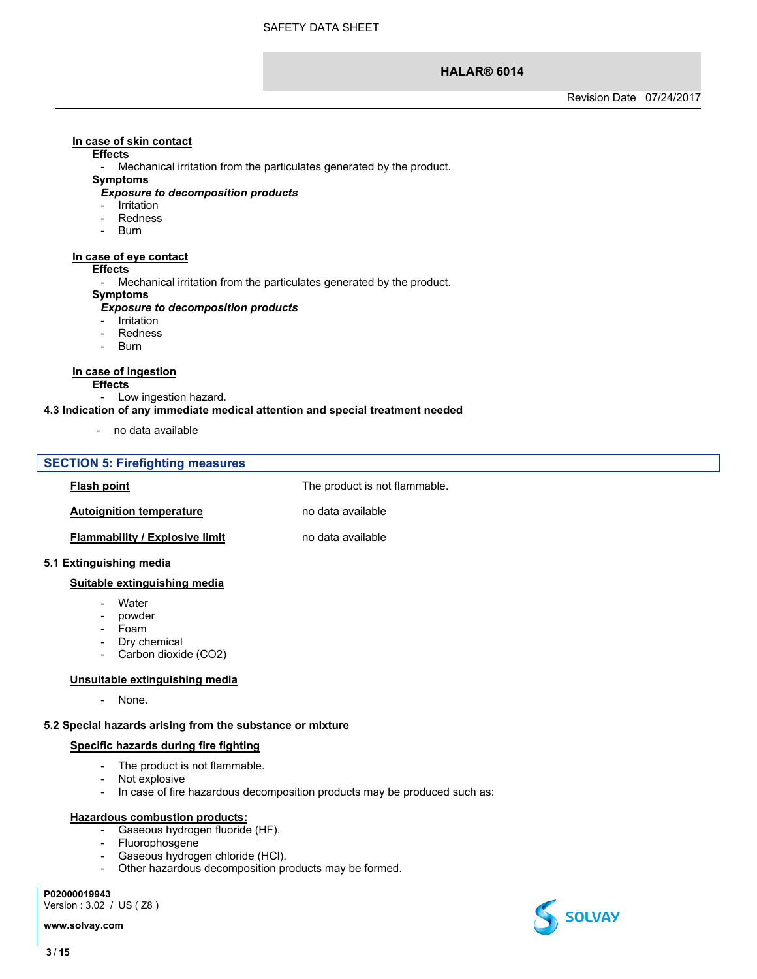# **In case of skin contact**

#### **Effects**

- Mechanical irritation from the particulates generated by the product.

#### **Symptoms**

#### *Exposure to decomposition products*

- Irritation
- **Redness**
- Burn

#### **In case of eye contact**

#### **Effects**

- Mechanical irritation from the particulates generated by the product.

#### **Symptoms**

#### *Exposure to decomposition products*

- **Irritation**
- **Redness**
- Burn

#### **In case of ingestion**

- **Effects**
	- Low ingestion hazard.

#### **4.3 Indication of any immediate medical attention and special treatment needed**

- no data available

#### **SECTION 5: Firefighting measures**

**Flash point** The product is not flammable.

**Autoignition temperature** no data available

**Flammability** / **Explosive limit** no data available

#### **5.1 Extinguishing media**

#### **Suitable extinguishing media**

- Water
- powder
- Foam
- Dry chemical
- Carbon dioxide (CO2)

#### **Unsuitable extinguishing media**

- None.

# **5.2 Special hazards arising from the substance or mixture**

# **Specific hazards during fire fighting**

- The product is not flammable.
- Not explosive
- In case of fire hazardous decomposition products may be produced such as:

# **Hazardous combustion products:**

- Gaseous hydrogen fluoride (HF).
- Fluorophosgene
- Gaseous hydrogen chloride (HCl).
- Other hazardous decomposition products may be formed.

**P02000019943**

Version : 3.02 / US ( Z8 )

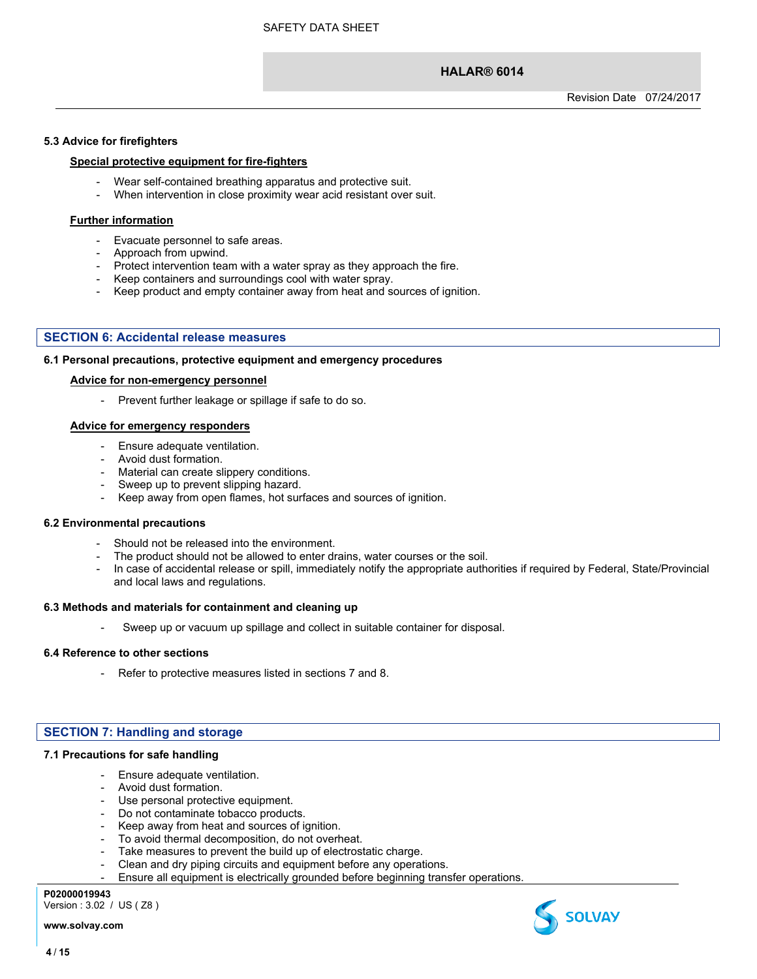#### **5.3 Advice for firefighters**

#### **Special protective equipment for fire-fighters**

- Wear self-contained breathing apparatus and protective suit.
- When intervention in close proximity wear acid resistant over suit.

#### **Further information**

- Evacuate personnel to safe areas.
- Approach from upwind.
- Protect intervention team with a water spray as they approach the fire.
- Keep containers and surroundings cool with water spray.
- Keep product and empty container away from heat and sources of ignition.

#### **SECTION 6: Accidental release measures**

#### **6.1 Personal precautions, protective equipment and emergency procedures**

#### **Advice for non-emergency personnel**

- Prevent further leakage or spillage if safe to do so.

#### **Advice for emergency responders**

- Ensure adequate ventilation.
- Avoid dust formation.
- Material can create slippery conditions.
- Sweep up to prevent slipping hazard.
- Keep away from open flames, hot surfaces and sources of ignition.

#### **6.2 Environmental precautions**

- Should not be released into the environment.
- The product should not be allowed to enter drains, water courses or the soil.
- In case of accidental release or spill, immediately notify the appropriate authorities if required by Federal, State/Provincial and local laws and regulations.

#### **6.3 Methods and materials for containment and cleaning up**

Sweep up or vacuum up spillage and collect in suitable container for disposal.

#### **6.4 Reference to other sections**

- Refer to protective measures listed in sections 7 and 8.

#### **SECTION 7: Handling and storage**

#### **7.1 Precautions for safe handling**

- Ensure adequate ventilation.
- Avoid dust formation.
- Use personal protective equipment.
- Do not contaminate tobacco products.
- Keep away from heat and sources of ignition.
- To avoid thermal decomposition, do not overheat.
- Take measures to prevent the build up of electrostatic charge.
- Clean and dry piping circuits and equipment before any operations.
- Ensure all equipment is electrically grounded before beginning transfer operations.

#### **P02000019943**

Version : 3.02 / US ( Z8 )

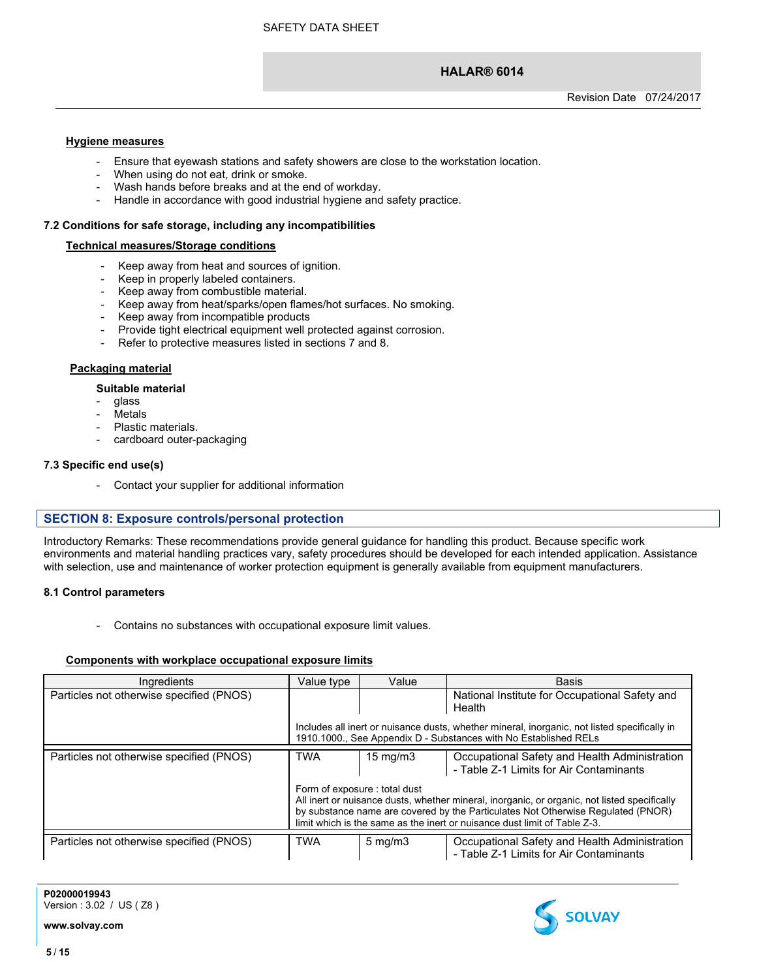# **Hygiene measures**

- Ensure that eyewash stations and safety showers are close to the workstation location.
- When using do not eat, drink or smoke.
- Wash hands before breaks and at the end of workday.
- Handle in accordance with good industrial hygiene and safety practice.

#### **7.2 Conditions for safe storage, including any incompatibilities**

#### **Technical measures/Storage conditions**

- Keep away from heat and sources of ignition.
- Keep in properly labeled containers.
- Keep away from combustible material.
- Keep away from heat/sparks/open flames/hot surfaces. No smoking.
- Keep away from incompatible products
- Provide tight electrical equipment well protected against corrosion.
- Refer to protective measures listed in sections 7 and 8.

#### **Packaging material**

#### **Suitable material**

- glass
- **Metals**
- Plastic materials.
- cardboard outer-packaging

#### **7.3 Specific end use(s)**

- Contact your supplier for additional information

#### **SECTION 8: Exposure controls/personal protection**

Introductory Remarks: These recommendations provide general guidance for handling this product. Because specific work environments and material handling practices vary, safety procedures should be developed for each intended application. Assistance with selection, use and maintenance of worker protection equipment is generally available from equipment manufacturers.

#### **8.1 Control parameters**

Contains no substances with occupational exposure limit values.

#### **Components with workplace occupational exposure limits**

| Ingredients                              | Value type | Value                        | <b>Basis</b>                                                                                                                                                                                                                                                  |
|------------------------------------------|------------|------------------------------|---------------------------------------------------------------------------------------------------------------------------------------------------------------------------------------------------------------------------------------------------------------|
| Particles not otherwise specified (PNOS) |            |                              | National Institute for Occupational Safety and<br>Health                                                                                                                                                                                                      |
|                                          |            |                              | Includes all inert or nuisance dusts, whether mineral, inorganic, not listed specifically in<br>1910.1000., See Appendix D - Substances with No Established RELs                                                                                              |
| Particles not otherwise specified (PNOS) | <b>TWA</b> | $15 \text{ mg/m}$            | Occupational Safety and Health Administration                                                                                                                                                                                                                 |
|                                          |            |                              | - Table Z-1 Limits for Air Contaminants                                                                                                                                                                                                                       |
|                                          |            | Form of exposure: total dust | All inert or nuisance dusts, whether mineral, inorganic, or organic, not listed specifically<br>by substance name are covered by the Particulates Not Otherwise Regulated (PNOR)<br>limit which is the same as the inert or nuisance dust limit of Table Z-3. |
|                                          |            |                              |                                                                                                                                                                                                                                                               |
| Particles not otherwise specified (PNOS) | <b>TWA</b> | $5 \,\mathrm{mg/m}$          | Occupational Safety and Health Administration<br>- Table Z-1 Limits for Air Contaminants                                                                                                                                                                      |



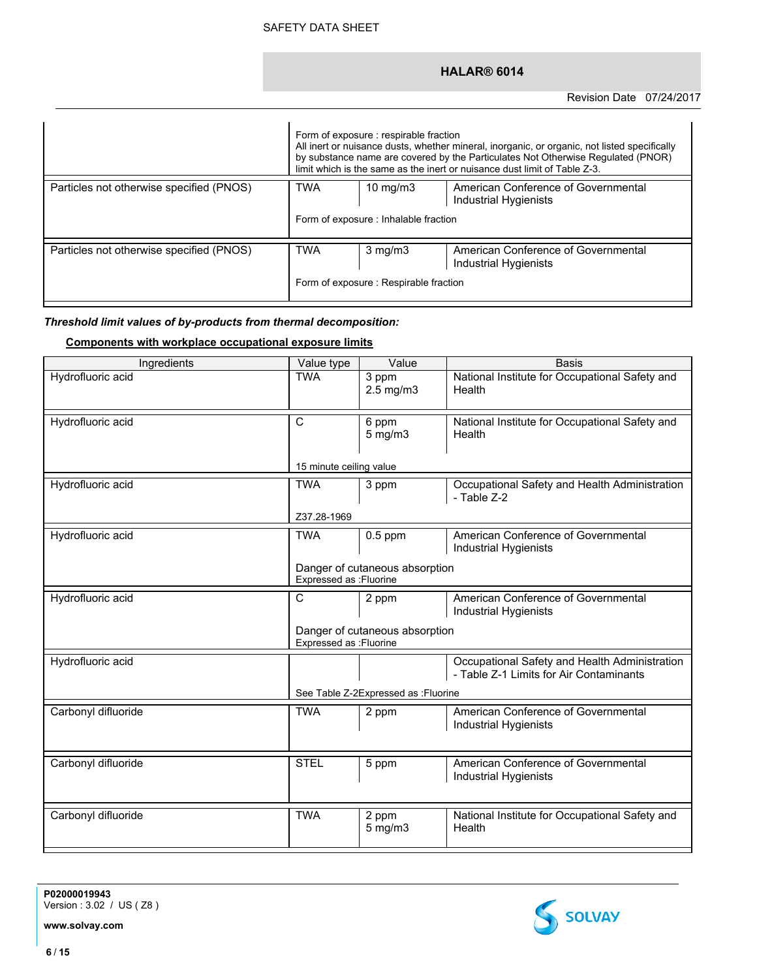|                                          | Form of exposure : respirable fraction<br>All inert or nuisance dusts, whether mineral, inorganic, or organic, not listed specifically<br>by substance name are covered by the Particulates Not Otherwise Regulated (PNOR)<br>limit which is the same as the inert or nuisance dust limit of Table Z-3. |                                                        |                                                                     |
|------------------------------------------|---------------------------------------------------------------------------------------------------------------------------------------------------------------------------------------------------------------------------------------------------------------------------------------------------------|--------------------------------------------------------|---------------------------------------------------------------------|
| Particles not otherwise specified (PNOS) | <b>TWA</b>                                                                                                                                                                                                                                                                                              | 10 mg/m $3$<br>Form of exposure : Inhalable fraction   | American Conference of Governmental<br>Industrial Hygienists        |
| Particles not otherwise specified (PNOS) | <b>TWA</b>                                                                                                                                                                                                                                                                                              | $3$ mg/m $3$<br>Form of exposure : Respirable fraction | American Conference of Governmental<br><b>Industrial Hygienists</b> |

# *Threshold limit values of by-products from thermal decomposition:*

# **Components with workplace occupational exposure limits**

| Ingredients         | Value type              | Value                                | <b>Basis</b>                                                                             |
|---------------------|-------------------------|--------------------------------------|------------------------------------------------------------------------------------------|
| Hydrofluoric acid   | <b>TWA</b>              | 3 ppm<br>$2.5$ mg/m $3$              | National Institute for Occupational Safety and<br>Health                                 |
| Hydrofluoric acid   | $\overline{\text{c}}$   | 6 ppm<br>$5$ mg/m $3$                | National Institute for Occupational Safety and<br>Health                                 |
|                     | 15 minute ceiling value |                                      |                                                                                          |
| Hydrofluoric acid   | <b>TWA</b>              | 3 ppm                                | Occupational Safety and Health Administration<br>- Table Z-2                             |
|                     | Z37.28-1969             |                                      |                                                                                          |
| Hydrofluoric acid   | <b>TWA</b>              | $0.5$ ppm                            | American Conference of Governmental<br><b>Industrial Hygienists</b>                      |
|                     | Expressed as : Fluorine | Danger of cutaneous absorption       |                                                                                          |
| Hydrofluoric acid   | $\overline{\mathsf{c}}$ | 2 ppm                                | American Conference of Governmental<br><b>Industrial Hygienists</b>                      |
|                     | Expressed as : Fluorine | Danger of cutaneous absorption       |                                                                                          |
| Hydrofluoric acid   |                         |                                      | Occupational Safety and Health Administration<br>- Table Z-1 Limits for Air Contaminants |
|                     |                         | See Table Z-2Expressed as : Fluorine |                                                                                          |
| Carbonyl difluoride | <b>TWA</b>              | 2 ppm                                | American Conference of Governmental<br><b>Industrial Hygienists</b>                      |
|                     |                         |                                      |                                                                                          |
| Carbonyl difluoride | <b>STEL</b>             | 5 ppm                                | American Conference of Governmental<br>Industrial Hygienists                             |
| Carbonyl difluoride | <b>TWA</b>              | 2 ppm                                | National Institute for Occupational Safety and                                           |
|                     |                         | $5$ mg/m $3$                         | Health                                                                                   |

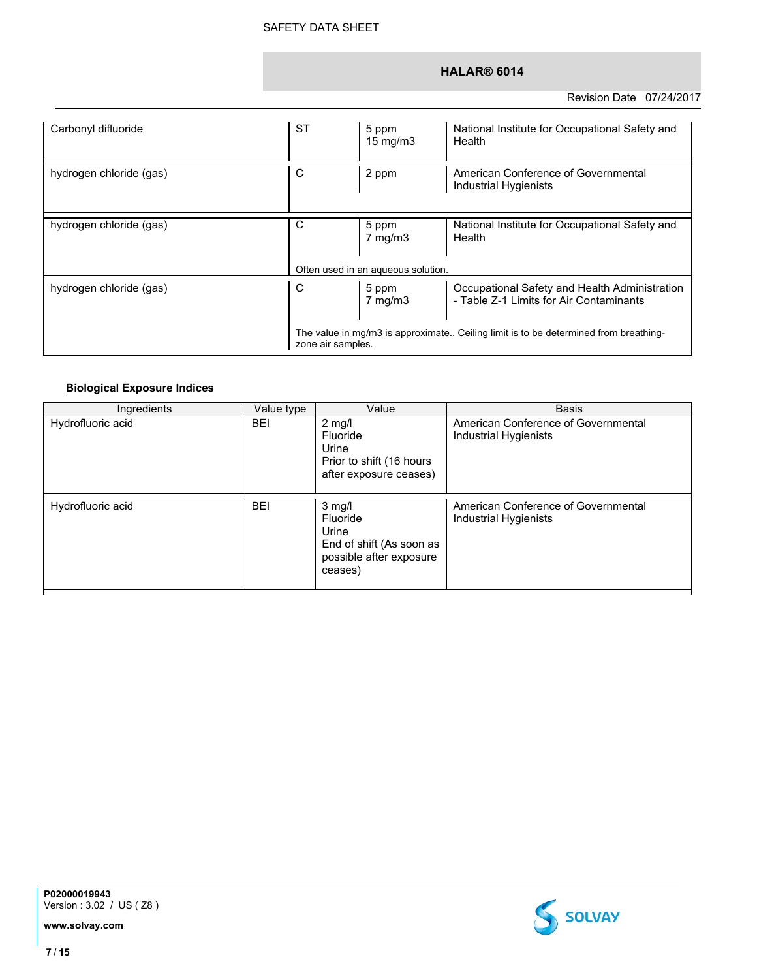| Carbonyl difluoride     | <b>ST</b>                                                                                                  | 5 ppm<br>$15 \text{ mg/m}$  | National Institute for Occupational Safety and<br>Health                                 |
|-------------------------|------------------------------------------------------------------------------------------------------------|-----------------------------|------------------------------------------------------------------------------------------|
| hydrogen chloride (gas) | С                                                                                                          | 2 ppm                       | American Conference of Governmental<br><b>Industrial Hygienists</b>                      |
| hydrogen chloride (gas) | С                                                                                                          | 5 ppm<br>$7 \text{ mg/m}$ 3 | National Institute for Occupational Safety and<br>Health                                 |
|                         | Often used in an aqueous solution.                                                                         |                             |                                                                                          |
| hydrogen chloride (gas) | С                                                                                                          | 5 ppm<br>$7 \text{ mg/m}$ 3 | Occupational Safety and Health Administration<br>- Table Z-1 Limits for Air Contaminants |
|                         | The value in mg/m3 is approximate., Ceiling limit is to be determined from breathing-<br>zone air samples. |                             |                                                                                          |

# **Biological Exposure Indices**

| Ingredients       | Value type | Value                                                                                                   | <b>Basis</b>                                                 |
|-------------------|------------|---------------------------------------------------------------------------------------------------------|--------------------------------------------------------------|
| Hydrofluoric acid | <b>BEI</b> | $2 \text{ mg/l}$<br>Fluoride<br>Urine<br>Prior to shift (16 hours<br>after exposure ceases)             | American Conference of Governmental<br>Industrial Hygienists |
| Hydrofluoric acid | <b>BEI</b> | $3 \text{ mg/l}$<br>Fluoride<br>Urine<br>End of shift (As soon as<br>possible after exposure<br>ceases) | American Conference of Governmental<br>Industrial Hygienists |



**P02000019943** Version : 3.02 / US ( Z8 )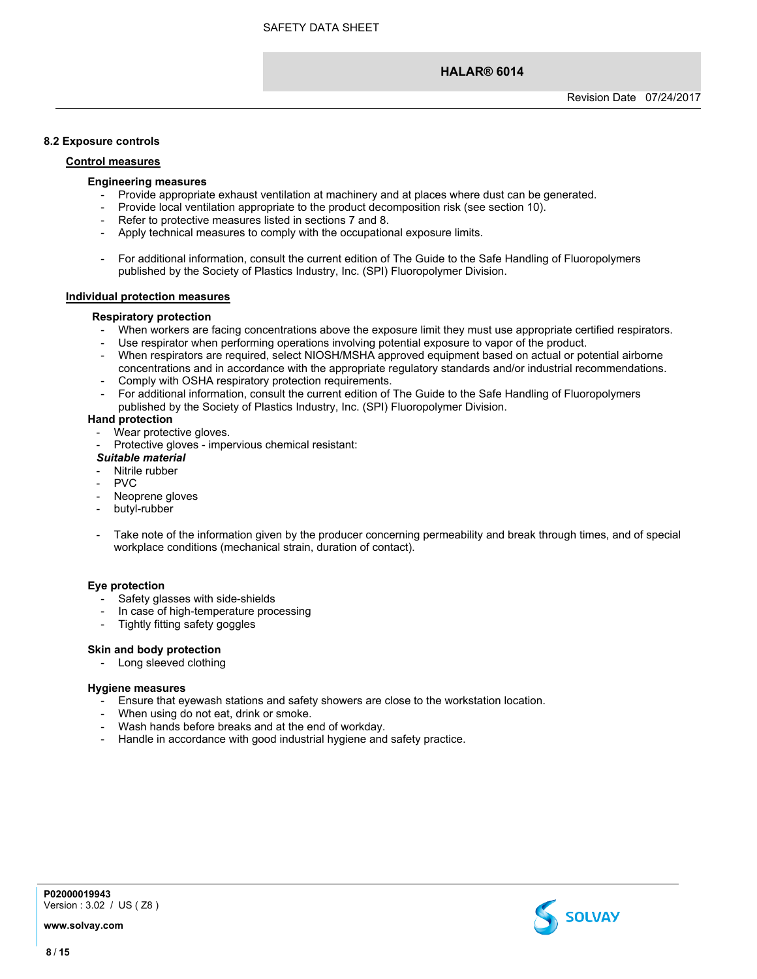#### **8.2 Exposure controls**

#### **Control measures**

#### **Engineering measures**

- Provide appropriate exhaust ventilation at machinery and at places where dust can be generated.
- Provide local ventilation appropriate to the product decomposition risk (see section 10).
- Refer to protective measures listed in sections 7 and 8.
- Apply technical measures to comply with the occupational exposure limits.
- For additional information, consult the current edition of The Guide to the Safe Handling of Fluoropolymers published by the Society of Plastics Industry, Inc. (SPI) Fluoropolymer Division.

#### **Individual protection measures**

#### **Respiratory protection**

- When workers are facing concentrations above the exposure limit they must use appropriate certified respirators.
- Use respirator when performing operations involving potential exposure to vapor of the product.
- When respirators are required, select NIOSH/MSHA approved equipment based on actual or potential airborne
- concentrations and in accordance with the appropriate regulatory standards and/or industrial recommendations. Comply with OSHA respiratory protection requirements.
- For additional information, consult the current edition of The Guide to the Safe Handling of Fluoropolymers published by the Society of Plastics Industry, Inc. (SPI) Fluoropolymer Division.

#### **Hand protection**

- Wear protective gloves.
- Protective gloves impervious chemical resistant:

#### *Suitable material*

- Nitrile rubber
- PV<sub>C</sub>
- Neoprene gloves
- butyl-rubber
- Take note of the information given by the producer concerning permeability and break through times, and of special workplace conditions (mechanical strain, duration of contact).

#### **Eye protection**

- Safety glasses with side-shields
- In case of high-temperature processing
- Tightly fitting safety goggles

#### **Skin and body protection**

- Long sleeved clothing

#### **Hygiene measures**

- Ensure that eyewash stations and safety showers are close to the workstation location.
- When using do not eat, drink or smoke.
- Wash hands before breaks and at the end of workday.
- Handle in accordance with good industrial hygiene and safety practice.



**P02000019943** Version : 3.02 / US ( Z8 )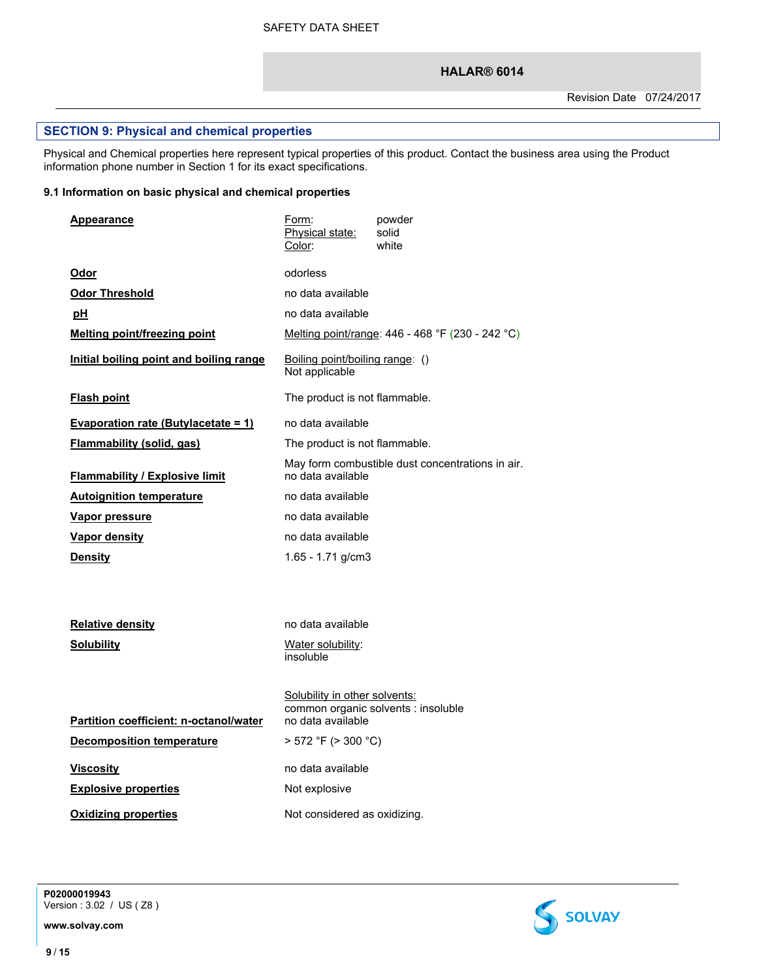# **SECTION 9: Physical and chemical properties**

Physical and Chemical properties here represent typical properties of this product. Contact the business area using the Product information phone number in Section 1 for its exact specifications.

# **9.1 Information on basic physical and chemical properties**

| Appearance                                                                                                                    | Form:<br>Physical state:<br>Color:                                                                                   | powder<br>solid<br>white                         |
|-------------------------------------------------------------------------------------------------------------------------------|----------------------------------------------------------------------------------------------------------------------|--------------------------------------------------|
| Odor                                                                                                                          | odorless                                                                                                             |                                                  |
| <b>Odor Threshold</b>                                                                                                         | no data available                                                                                                    |                                                  |
| pH                                                                                                                            | no data available                                                                                                    |                                                  |
| <b>Melting point/freezing point</b>                                                                                           |                                                                                                                      | Melting point/range: 446 - 468 °F (230 - 242 °C) |
| Initial boiling point and boiling range                                                                                       | Boiling point/boiling range: ()<br>Not applicable                                                                    |                                                  |
| <b>Flash point</b>                                                                                                            | The product is not flammable.                                                                                        |                                                  |
| <b>Evaporation rate (Butylacetate = 1)</b>                                                                                    | no data available                                                                                                    |                                                  |
| Flammability (solid, gas)                                                                                                     | The product is not flammable.                                                                                        |                                                  |
| <b>Flammability / Explosive limit</b>                                                                                         | no data available                                                                                                    | May form combustible dust concentrations in air. |
| <b>Autoignition temperature</b>                                                                                               | no data available                                                                                                    |                                                  |
| Vapor pressure                                                                                                                | no data available                                                                                                    |                                                  |
| <b>Vapor density</b>                                                                                                          | no data available                                                                                                    |                                                  |
| <b>Density</b>                                                                                                                | 1.65 - 1.71 g/cm3                                                                                                    |                                                  |
| Relative density<br><b>Solubility</b>                                                                                         | no data available<br>Water solubility:<br>insoluble                                                                  |                                                  |
| Partition coefficient: n-octanol/water<br><b>Decomposition temperature</b><br><b>Viscosity</b><br><b>Explosive properties</b> | Solubility in other solvents:<br>no data available<br>$>$ 572 °F ( $>$ 300 °C)<br>no data available<br>Not explosive | common organic solvents : insoluble              |
| <b>Oxidizing properties</b>                                                                                                   | Not considered as oxidizing.                                                                                         |                                                  |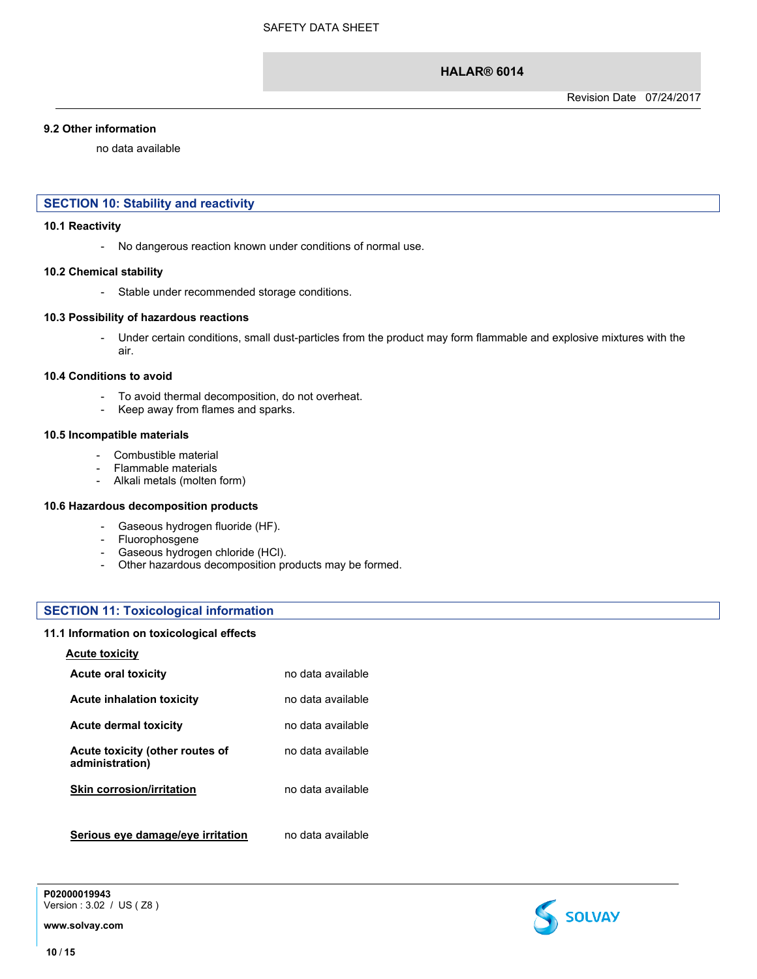#### **9.2 Other information**

no data available

# **SECTION 10: Stability and reactivity**

#### **10.1 Reactivity**

- No dangerous reaction known under conditions of normal use.

#### **10.2 Chemical stability**

- Stable under recommended storage conditions.

#### **10.3 Possibility of hazardous reactions**

- Under certain conditions, small dust-particles from the product may form flammable and explosive mixtures with the air.

#### **10.4 Conditions to avoid**

- To avoid thermal decomposition, do not overheat.
- Keep away from flames and sparks.

#### **10.5 Incompatible materials**

- Combustible material
- Flammable materials
- Alkali metals (molten form)

#### **10.6 Hazardous decomposition products**

- Gaseous hydrogen fluoride (HF).
- Fluorophosgene
- Gaseous hydrogen chloride (HCl).
- Other hazardous decomposition products may be formed.

#### **SECTION 11: Toxicological information**

#### **11.1 Information on toxicological effects**

# **Acute toxicity Acute oral toxicity no data available Acute inhalation toxicity** no data available **Acute dermal toxicity** no data available **Acute toxicity (other routes of administration)** no data available **Skin corrosion/irritation** no data available **Serious eye damage/eye irritation** no data available

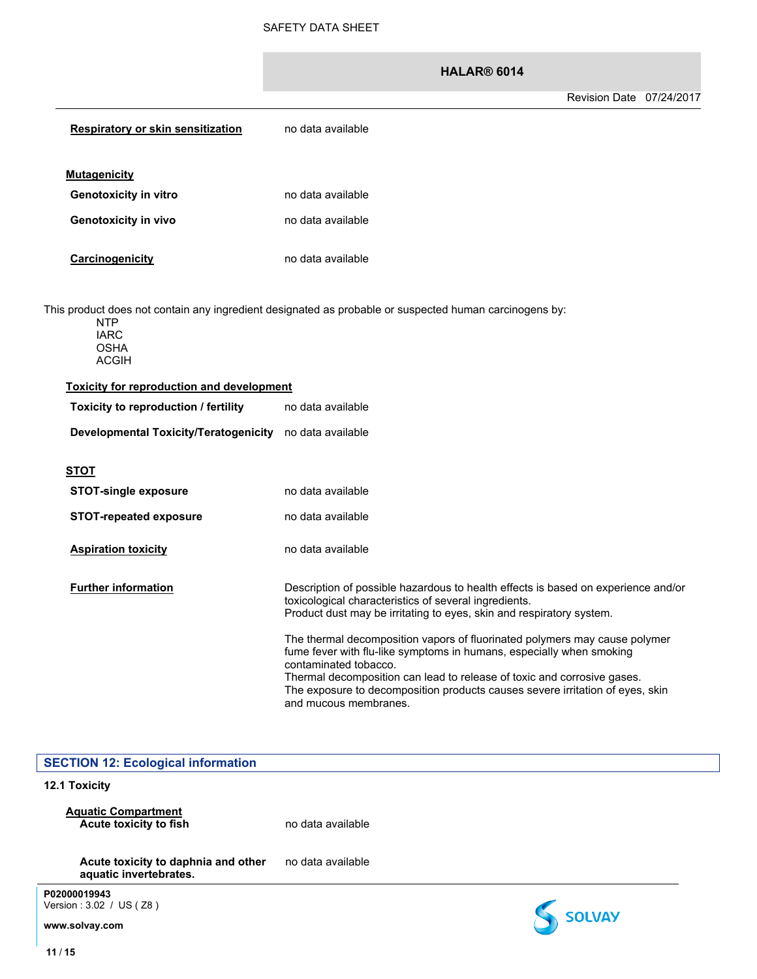| <b>Respiratory or skin sensitization</b>                 | no data available                                                                                                                                                                                                                                                                                                                                                |
|----------------------------------------------------------|------------------------------------------------------------------------------------------------------------------------------------------------------------------------------------------------------------------------------------------------------------------------------------------------------------------------------------------------------------------|
| <b>Mutagenicity</b>                                      |                                                                                                                                                                                                                                                                                                                                                                  |
| <b>Genotoxicity in vitro</b>                             | no data available                                                                                                                                                                                                                                                                                                                                                |
| <b>Genotoxicity in vivo</b>                              | no data available                                                                                                                                                                                                                                                                                                                                                |
| Carcinogenicity                                          | no data available                                                                                                                                                                                                                                                                                                                                                |
| <b>NTP</b><br><b>IARC</b><br><b>OSHA</b><br><b>ACGIH</b> | This product does not contain any ingredient designated as probable or suspected human carcinogens by:                                                                                                                                                                                                                                                           |
| <b>Toxicity for reproduction and development</b>         |                                                                                                                                                                                                                                                                                                                                                                  |
| Toxicity to reproduction / fertility                     | no data available                                                                                                                                                                                                                                                                                                                                                |
| Developmental Toxicity/Teratogenicity no data available  |                                                                                                                                                                                                                                                                                                                                                                  |
| <u>STOT</u>                                              |                                                                                                                                                                                                                                                                                                                                                                  |
| <b>STOT-single exposure</b>                              | no data available                                                                                                                                                                                                                                                                                                                                                |
| <b>STOT-repeated exposure</b>                            | no data available                                                                                                                                                                                                                                                                                                                                                |
| <b>Aspiration toxicity</b>                               | no data available                                                                                                                                                                                                                                                                                                                                                |
| <b>Further information</b>                               | Description of possible hazardous to health effects is based on experience and/or<br>toxicological characteristics of several ingredients.<br>Product dust may be irritating to eyes, skin and respiratory system.                                                                                                                                               |
|                                                          | The thermal decomposition vapors of fluorinated polymers may cause polymer<br>fume fever with flu-like symptoms in humans, especially when smoking<br>contaminated tobacco.<br>Thermal decomposition can lead to release of toxic and corrosive gases.<br>The exposure to decomposition products causes severe irritation of eyes, skin<br>and mucous membranes. |

| <b>SECTION 12: Ecological information</b>                     |                   |               |
|---------------------------------------------------------------|-------------------|---------------|
| 12.1 Toxicity                                                 |                   |               |
| <b>Aquatic Compartment</b><br>Acute toxicity to fish          | no data available |               |
| Acute toxicity to daphnia and other<br>aquatic invertebrates. | no data available |               |
| P02000019943<br>Version: 3.02 / US (Z8)<br>www.solvay.com     |                   | <b>SOLVAY</b> |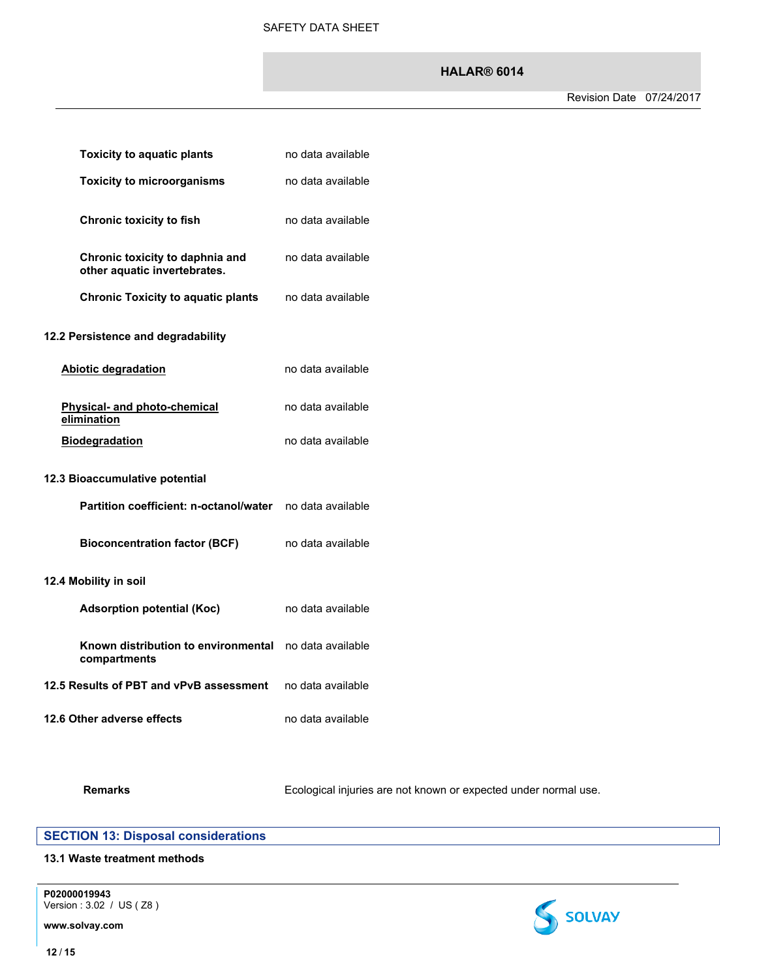| <b>Toxicity to aquatic plants</b>                               | no data available |  |
|-----------------------------------------------------------------|-------------------|--|
| <b>Toxicity to microorganisms</b>                               | no data available |  |
| <b>Chronic toxicity to fish</b>                                 | no data available |  |
| Chronic toxicity to daphnia and<br>other aquatic invertebrates. | no data available |  |
| <b>Chronic Toxicity to aquatic plants</b>                       | no data available |  |
| 12.2 Persistence and degradability                              |                   |  |
| <b>Abiotic degradation</b>                                      | no data available |  |
| Physical- and photo-chemical<br>elimination                     | no data available |  |
| <b>Biodegradation</b>                                           | no data available |  |
| 12.3 Bioaccumulative potential                                  |                   |  |
| Partition coefficient: n-octanol/water                          | no data available |  |
| <b>Bioconcentration factor (BCF)</b>                            | no data available |  |
| 12.4 Mobility in soil                                           |                   |  |
| <b>Adsorption potential (Koc)</b>                               | no data available |  |
| Known distribution to environmental<br>compartments             | no data available |  |
| 12.5 Results of PBT and vPvB assessment                         | no data available |  |
| 12.6 Other adverse effects                                      | no data available |  |

Remarks **Remarks** Ecological injuries are not known or expected under normal use.

# **SECTION 13: Disposal considerations**

# **13.1 Waste treatment methods**

**P02000019943** Version : 3.02 / US ( Z8 )

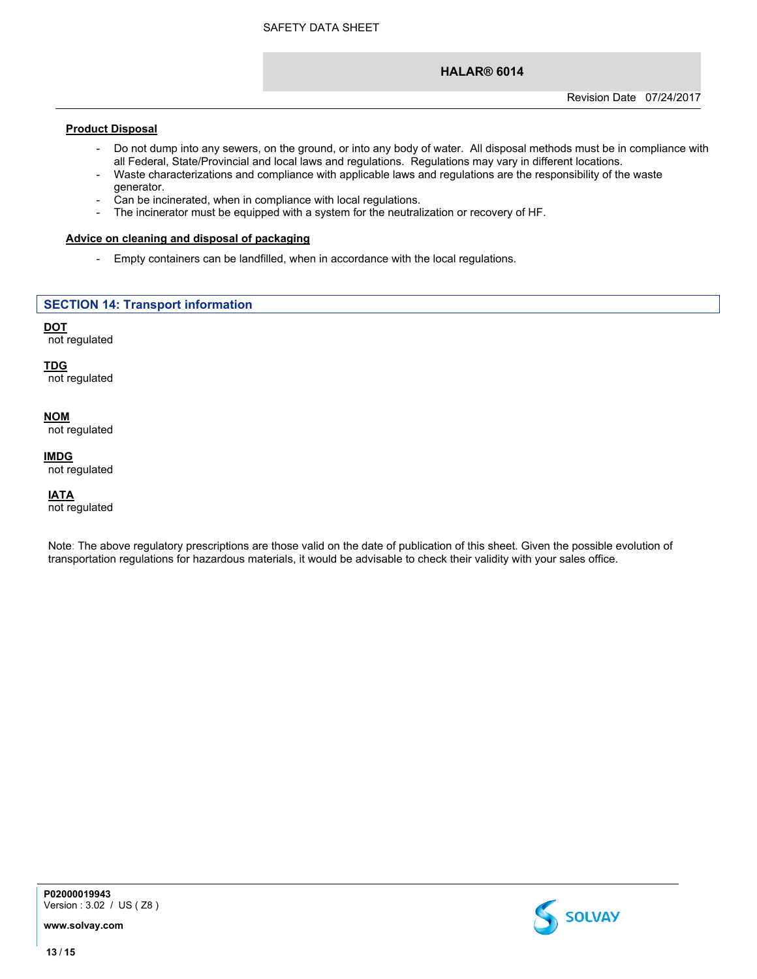### **Product Disposal**

- Do not dump into any sewers, on the ground, or into any body of water. All disposal methods must be in compliance with all Federal, State/Provincial and local laws and regulations. Regulations may vary in different locations.
- Waste characterizations and compliance with applicable laws and regulations are the responsibility of the waste generator.
- Can be incinerated, when in compliance with local regulations.
- The incinerator must be equipped with a system for the neutralization or recovery of HF.

#### **Advice on cleaning and disposal of packaging**

- Empty containers can be landfilled, when in accordance with the local regulations.

# **SECTION 14: Transport information**

#### **DOT** not regulated

**TDG** not regulated

# **NOM**

not regulated

# **IMDG**

not regulated

### **IATA**

not regulated

Note: The above regulatory prescriptions are those valid on the date of publication of this sheet. Given the possible evolution of transportation regulations for hazardous materials, it would be advisable to check their validity with your sales office.



**P02000019943** Version : 3.02 / US ( Z8 )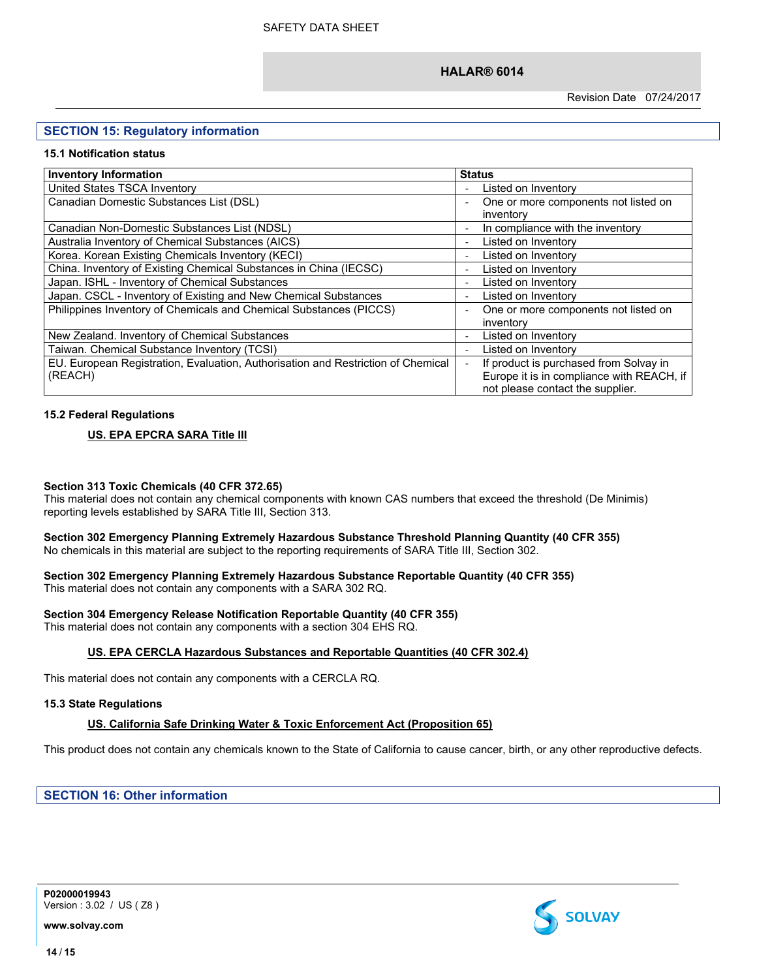Revision Date 07/24/2017

# **SECTION 15: Regulatory information**

#### **15.1 Notification status**

| <b>Inventory Information</b>                                                     | <b>Status</b>                             |
|----------------------------------------------------------------------------------|-------------------------------------------|
| United States TSCA Inventory                                                     | Listed on Inventory                       |
| Canadian Domestic Substances List (DSL)                                          | One or more components not listed on      |
|                                                                                  | inventory                                 |
| Canadian Non-Domestic Substances List (NDSL)                                     | In compliance with the inventory          |
| Australia Inventory of Chemical Substances (AICS)                                | Listed on Inventory                       |
| Korea. Korean Existing Chemicals Inventory (KECI)                                | Listed on Inventory                       |
| China. Inventory of Existing Chemical Substances in China (IECSC)                | Listed on Inventory                       |
| Japan. ISHL - Inventory of Chemical Substances                                   | Listed on Inventory                       |
| Japan. CSCL - Inventory of Existing and New Chemical Substances                  | Listed on Inventory                       |
| Philippines Inventory of Chemicals and Chemical Substances (PICCS)               | One or more components not listed on      |
|                                                                                  | inventory                                 |
| New Zealand. Inventory of Chemical Substances                                    | Listed on Inventory                       |
| Taiwan. Chemical Substance Inventory (TCSI)                                      | Listed on Inventory                       |
| EU. European Registration, Evaluation, Authorisation and Restriction of Chemical | If product is purchased from Solvay in    |
| (REACH)                                                                          | Europe it is in compliance with REACH, if |
|                                                                                  | not please contact the supplier.          |

#### **15.2 Federal Regulations**

# **US. EPA EPCRA SARA Title III**

#### **Section 313 Toxic Chemicals (40 CFR 372.65)**

This material does not contain any chemical components with known CAS numbers that exceed the threshold (De Minimis) reporting levels established by SARA Title III, Section 313.

#### **Section 302 Emergency Planning Extremely Hazardous Substance Threshold Planning Quantity (40 CFR 355)** No chemicals in this material are subject to the reporting requirements of SARA Title III, Section 302.

#### **Section 302 Emergency Planning Extremely Hazardous Substance Reportable Quantity (40 CFR 355)** This material does not contain any components with a SARA 302 RQ.

# **Section 304 Emergency Release Notification Reportable Quantity (40 CFR 355)**

This material does not contain any components with a section 304 EHS RQ.

#### **US. EPA CERCLA Hazardous Substances and Reportable Quantities (40 CFR 302.4)**

This material does not contain any components with a CERCLA RQ.

#### **15.3 State Regulations**

#### **US. California Safe Drinking Water & Toxic Enforcement Act (Proposition 65)**

This product does not contain any chemicals known to the State of California to cause cancer, birth, or any other reproductive defects.

**SECTION 16: Other information**



**P02000019943** Version : 3.02 / US ( Z8 )